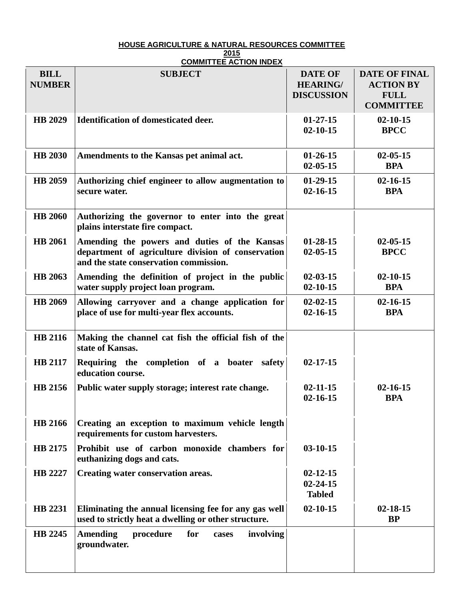## **HOUSE AGRICULTURE & NATURAL RESOURCES COMMITTEE**

## **2015 COMMITTEE ACTION INDEX**

| <b>BILL</b><br><b>NUMBER</b> | <b>SUBJECT</b>                                                                                                                               | <b>DATE OF</b><br><b>HEARING/</b><br><b>DISCUSSION</b> | <b>DATE OF FINAL</b><br><b>ACTION BY</b><br><b>FULL</b><br><b>COMMITTEE</b> |
|------------------------------|----------------------------------------------------------------------------------------------------------------------------------------------|--------------------------------------------------------|-----------------------------------------------------------------------------|
| <b>HB 2029</b>               | <b>Identification of domesticated deer.</b>                                                                                                  | $01-27-15$<br>$02 - 10 - 15$                           | $02 - 10 - 15$<br><b>BPCC</b>                                               |
| <b>HB 2030</b>               | Amendments to the Kansas pet animal act.                                                                                                     | $01-26-15$<br>$02 - 05 - 15$                           | $02 - 05 - 15$<br><b>BPA</b>                                                |
| <b>HB 2059</b>               | Authorizing chief engineer to allow augmentation to<br>secure water.                                                                         | $01-29-15$<br>$02 - 16 - 15$                           | $02 - 16 - 15$<br><b>BPA</b>                                                |
| <b>HB 2060</b>               | Authorizing the governor to enter into the great<br>plains interstate fire compact.                                                          |                                                        |                                                                             |
| <b>HB</b> 2061               | Amending the powers and duties of the Kansas<br>department of agriculture division of conservation<br>and the state conservation commission. | $01 - 28 - 15$<br>$02 - 05 - 15$                       | $02 - 05 - 15$<br><b>BPCC</b>                                               |
| <b>HB</b> 2063               | Amending the definition of project in the public<br>water supply project loan program.                                                       | $02 - 03 - 15$<br>$02 - 10 - 15$                       | $02 - 10 - 15$<br><b>BPA</b>                                                |
| <b>HB 2069</b>               | Allowing carryover and a change application for<br>place of use for multi-year flex accounts.                                                | $02 - 02 - 15$<br>$02 - 16 - 15$                       | $02 - 16 - 15$<br><b>BPA</b>                                                |
| <b>HB 2116</b>               | Making the channel cat fish the official fish of the<br>state of Kansas.                                                                     |                                                        |                                                                             |
| <b>HB 2117</b>               | Requiring the completion of a boater<br>safety<br>education course.                                                                          | $02 - 17 - 15$                                         |                                                                             |
| HB 2156                      | Public water supply storage; interest rate change.                                                                                           | $02 - 11 - 15$<br>$02 - 16 - 15$                       | $02 - 16 - 15$<br><b>BPA</b>                                                |
| <b>HB 2166</b>               | Creating an exception to maximum vehicle length<br>requirements for custom harvesters.                                                       |                                                        |                                                                             |
| HB 2175                      | Prohibit use of carbon monoxide chambers for<br>euthanizing dogs and cats.                                                                   | $03-10-15$                                             |                                                                             |
| HB 2227                      | Creating water conservation areas.                                                                                                           | $02 - 12 - 15$<br>$02 - 24 - 15$<br><b>Tabled</b>      |                                                                             |
| HB 2231                      | Eliminating the annual licensing fee for any gas well<br>used to strictly heat a dwelling or other structure.                                | $02 - 10 - 15$                                         | $02 - 18 - 15$<br><b>BP</b>                                                 |
| HB 2245                      | <b>Amending</b><br>for<br>involving<br>procedure<br>cases<br>groundwater.                                                                    |                                                        |                                                                             |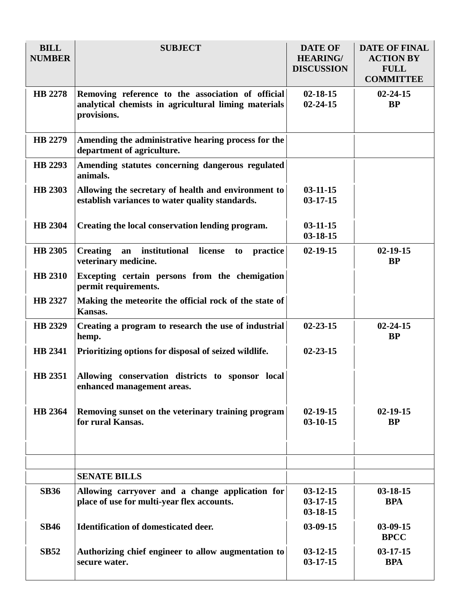| <b>BILL</b><br><b>NUMBER</b> | <b>SUBJECT</b>                                                                                                           | <b>DATE OF</b><br><b>HEARING/</b><br><b>DISCUSSION</b> | <b>DATE OF FINAL</b><br><b>ACTION BY</b><br><b>FULL</b><br><b>COMMITTEE</b> |
|------------------------------|--------------------------------------------------------------------------------------------------------------------------|--------------------------------------------------------|-----------------------------------------------------------------------------|
| HB 2278                      | Removing reference to the association of official<br>analytical chemists in agricultural liming materials<br>provisions. | $02 - 18 - 15$<br>$02 - 24 - 15$                       | $02 - 24 - 15$<br><b>BP</b>                                                 |
| HB 2279                      | Amending the administrative hearing process for the<br>department of agriculture.                                        |                                                        |                                                                             |
| HB 2293                      | Amending statutes concerning dangerous regulated<br>animals.                                                             |                                                        |                                                                             |
| <b>HB 2303</b>               | Allowing the secretary of health and environment to<br>establish variances to water quality standards.                   | $03 - 11 - 15$<br>$03-17-15$                           |                                                                             |
| <b>HB 2304</b>               | Creating the local conservation lending program.                                                                         | $03 - 11 - 15$<br>$03 - 18 - 15$                       |                                                                             |
| <b>HB 2305</b>               | an institutional<br>license<br><b>Creating</b><br>practice<br>to<br>veterinary medicine.                                 | $02 - 19 - 15$                                         | $02 - 19 - 15$<br><b>BP</b>                                                 |
| <b>HB 2310</b>               | Excepting certain persons from the chemigation<br>permit requirements.                                                   |                                                        |                                                                             |
| HB 2327                      | Making the meteorite the official rock of the state of<br>Kansas.                                                        |                                                        |                                                                             |
| HB 2329                      | Creating a program to research the use of industrial<br>hemp.                                                            | $02 - 23 - 15$                                         | $02 - 24 - 15$<br><b>BP</b>                                                 |
| HB 2341                      | Prioritizing options for disposal of seized wildlife.                                                                    | $02 - 23 - 15$                                         |                                                                             |
| <b>HB</b> 2351               | Allowing conservation districts to sponsor local<br>enhanced management areas.                                           |                                                        |                                                                             |
| HB 2364                      | Removing sunset on the veterinary training program<br>for rural Kansas.                                                  | $02 - 19 - 15$<br>$03-10-15$                           | $02 - 19 - 15$<br><b>BP</b>                                                 |
|                              |                                                                                                                          |                                                        |                                                                             |
|                              | <b>SENATE BILLS</b>                                                                                                      |                                                        |                                                                             |
| <b>SB36</b>                  | Allowing carryover and a change application for<br>place of use for multi-year flex accounts.                            | $03-12-15$<br>$03-17-15$<br>$03 - 18 - 15$             | $03 - 18 - 15$<br><b>BPA</b>                                                |
| <b>SB46</b>                  | <b>Identification of domesticated deer.</b>                                                                              | $03-09-15$                                             | $03-09-15$<br><b>BPCC</b>                                                   |
| <b>SB52</b>                  | Authorizing chief engineer to allow augmentation to<br>secure water.                                                     | $03-12-15$<br>$03-17-15$                               | $03 - 17 - 15$<br><b>BPA</b>                                                |